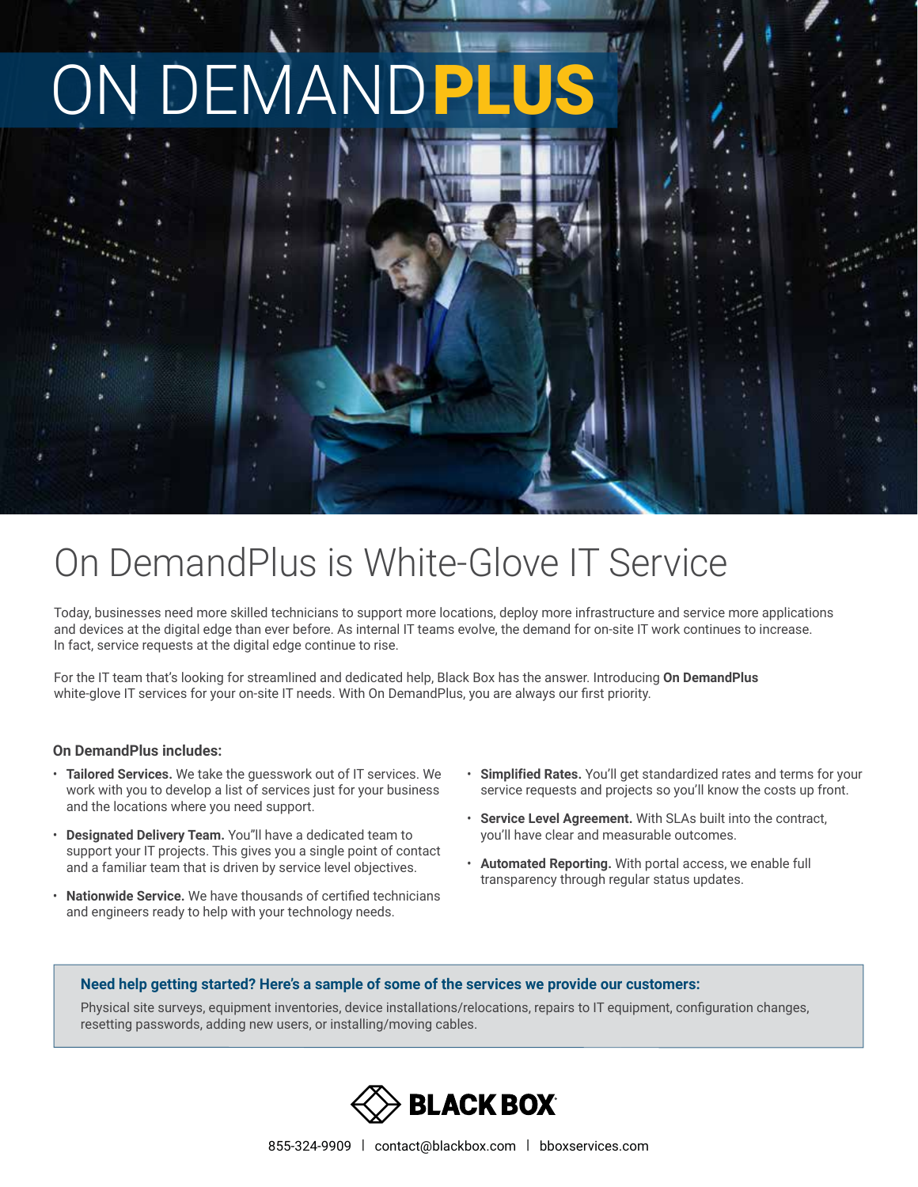# **NDEMAN**

## On DemandPlus is White-Glove IT Service

Today, businesses need more skilled technicians to support more locations, deploy more infrastructure and service more applications and devices at the digital edge than ever before. As internal IT teams evolve, the demand for on-site IT work continues to increase. In fact, service requests at the digital edge continue to rise.

For the IT team that's looking for streamlined and dedicated help, Black Box has the answer. Introducing **On DemandPlus** white-glove IT services for your on-site IT needs. With On DemandPlus, you are always our first priority.

### **On DemandPlus includes:**

- **Tailored Services.** We take the guesswork out of IT services. We work with you to develop a list of services just for your business and the locations where you need support.
- **Designated Delivery Team.** You"ll have a dedicated team to support your IT projects. This gives you a single point of contact and a familiar team that is driven by service level objectives.
- **Nationwide Service.** We have thousands of certified technicians and engineers ready to help with your technology needs.
- **Simplified Rates.** You'll get standardized rates and terms for your service requests and projects so you'll know the costs up front.
- **Service Level Agreement.** With SLAs built into the contract, you'll have clear and measurable outcomes.
- **Automated Reporting.** With portal access, we enable full transparency through regular status updates.

#### **Need help getting started? Here's a sample of some of the services we provide our customers:**

Physical site surveys, equipment inventories, device installations/relocations, repairs to IT equipment, configuration changes, resetting passwords, adding new users, or installing/moving cables.